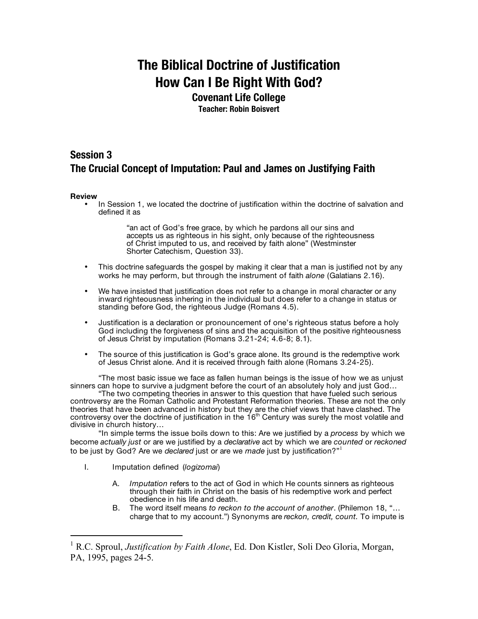## **The Biblical Doctrine of Justification How Can I Be Right With God?**

## **Covenant Life College**

**Teacher: Robin Boisvert**

## **Session 3 The Crucial Concept of Imputation: Paul and James on Justifying Faith**

## **Review**

• In Session 1, we located the doctrine of justification within the doctrine of salvation and defined it as

> "an act of God's free grace, by which he pardons all our sins and accepts us as righteous in his sight, only because of the righteousness of Christ imputed to us, and received by faith alone" (Westminster Shorter Catechism, Question 33).

- This doctrine safeguards the gospel by making it clear that a man is justified not by any works he may perform, but through the instrument of faith *alone* (Galatians 2.16).
- We have insisted that justification does not refer to a change in moral character or any inward righteousness inhering in the individual but does refer to a change in status or standing before God, the righteous Judge (Romans 4.5).
- Justification is a declaration or pronouncement of one's righteous status before a holy God including the forgiveness of sins and the acquisition of the positive righteousness of Jesus Christ by imputation (Romans 3.21-24; 4.6-8; 8.1).
- The source of this justification is God's grace alone. Its ground is the redemptive work of Jesus Christ alone. And it is received through faith alone (Romans 3.24-25).

"The most basic issue we face as fallen human beings is the issue of how we as unjust sinners can hope to survive a judgment before the court of an absolutely holy and just God...

"The two competing theories in answer to this question that have fueled such serious controversy are the Roman Catholic and Protestant Reformation theories. These are not the only theories that have been advanced in history but they are the chief views that have clashed. The controversy over the doctrine of justification in the  $16<sup>th</sup>$  Century was surely the most volatile and divisive in church history…

"In simple terms the issue boils down to this: Are we justified by a *process* by which we become *actually just* or are we justified by a *declarative* act by which we are *counted* or *reckoned* to be just by God? Are we *declared* just or are we *made* just by justification?" 1

- I. Imputation defined (*logizomai*)
	- A. *Imputation* refers to the act of God in which He counts sinners as righteous through their faith in Christ on the basis of his redemptive work and perfect obedience in his life and death.
	- B. The word itself means *to reckon to the account of another*. (Philemon 18, "… charge that to my account.") Synonyms are *reckon, credit, count.* To impute is

 <sup>1</sup> R.C. Sproul, *Justification by Faith Alone*, Ed. Don Kistler, Soli Deo Gloria, Morgan, PA, 1995, pages 24-5.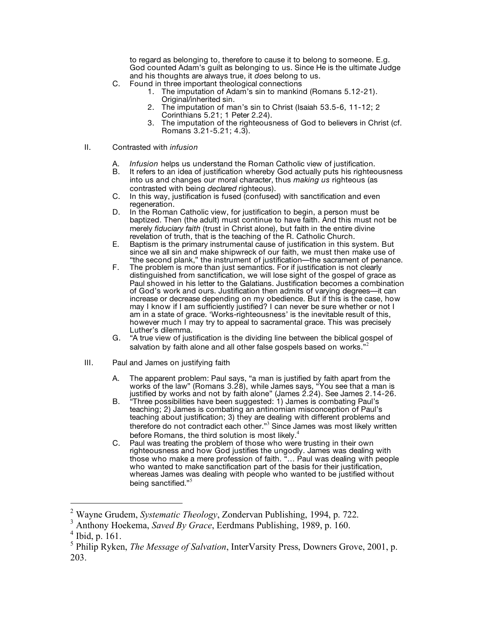to regard as belonging to, therefore to cause it to belong to someone. E.g. God counted Adam's guilt as belonging to us. Since He is the ultimate Judge and his thoughts are always true, it *does* belong to us.

- C. Found in three important theological connections
	- 1. The imputation of Adam's sin to mankind (Romans 5.12-21). Original/inherited sin.
	- 2. The imputation of man's sin to Christ (Isaiah 53.5-6, 11-12; 2 Corinthians 5.21; 1 Peter 2.24).
	- 3. The imputation of the righteousness of God to believers in Christ (cf. Romans 3.21-5.21; 4.3).
- II. Contrasted with *infusion*
	- A. *Infusion* helps us understand the Roman Catholic view of justification.
	- It refers to an idea of justification whereby God actually puts his righteousness into us and changes our moral character, thus *making us* righteous (as contrasted with being *declared* righteous).
	- C. In this way, justification is fused (confused) with sanctification and even
	- D. In the Roman Catholic view, for justification to begin, a person must be baptized. Then (the adult) must continue to have faith. And this must not be merely *fiduciary faith* (trust in Christ alone), but faith in the entire divine revelation of truth, that is the teaching of the R. Catholic Church.
	- E. Baptism is the primary instrumental cause of justification in this system. But since we all sin and make shipwreck of our faith, we must then make use of "the second plank," the instrument of justification—the sacrament of penance.
	- F. The problem is more than just semantics. For if justification is not clearly distinguished from sanctification, we will lose sight of the gospel of grace as Paul showed in his letter to the Galatians. Justification becomes a combination of God's work and ours. Justification then admits of varying degrees—it can increase or decrease depending on my obedience. But if this is the case, how may I know if I am sufficiently justified? I can never be sure whether or not I am in a state of grace. 'Works-righteousness' is the inevitable result of this, however much I may try to appeal to sacramental grace. This was precisely Luther's dilemma.
	- G. "A true view of justification is the dividing line between the biblical gospel of salvation by faith alone and all other false gospels based on works." 2
- III. Paul and James on justifying faith
	- A. The apparent problem: Paul says, "a man is justified by faith apart from the works of the law" (Romans 3.28), while James says, "You see that a man is justified by works and not by faith alone" (James 2.24). See James 2.14-26.
	- B. "Three possibilities have been suggested: 1) James is combating Paul's teaching; 2) James is combating an antinomian misconception of Paul's teaching about justification; 3) they are dealing with different problems and therefore do not contradict each other."<sup>3</sup> Since James was most likely written before Romans, the third solution is most likely.<sup>4</sup>
	- C. Paul was treating the problem of those who were trusting in their own righteousness and how God justifies the ungodly. James was dealing with those who make a mere profession of faith. "… Paul was dealing with people who wanted to make sanctification part of the basis for their justification, whereas James was dealing with people who wanted to be justified without being sanctified."<sup>5</sup>

<sup>2</sup> Wayne Grudem, *Systematic Theology*, Zondervan Publishing, 1994, p. 722. <sup>3</sup> Anthony Hoekema, *Saved By Grace*, Eerdmans Publishing, 1989, p. 160.

 $<sup>4</sup>$  Ibid, p. 161.</sup>

<sup>5</sup> Philip Ryken, *The Message of Salvation*, InterVarsity Press, Downers Grove, 2001, p. 203.